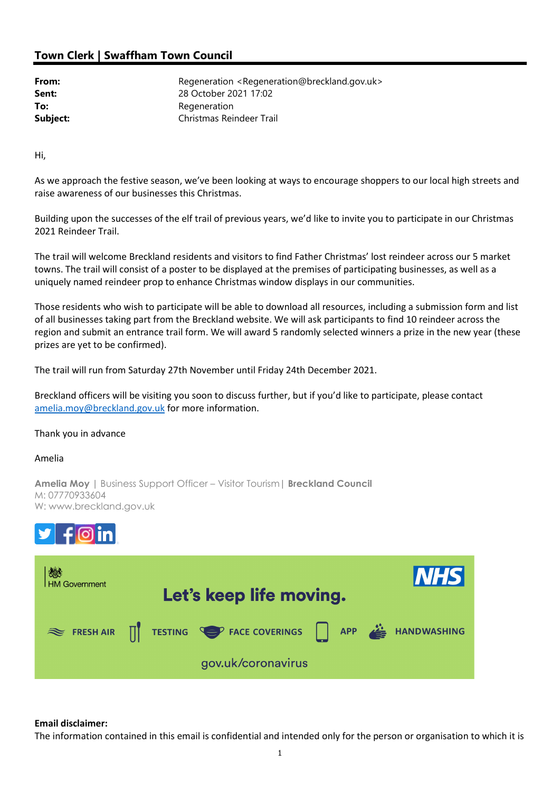## Town Clerk | Swaffham Town Council

| From:    | Regeneration <regeneration@breckland.gov.uk></regeneration@breckland.gov.uk> |
|----------|------------------------------------------------------------------------------|
| Sent:    | 28 October 2021 17:02                                                        |
| To:      | Regeneration                                                                 |
| Subject: | Christmas Reindeer Trail                                                     |

Hi,

As we approach the festive season, we've been looking at ways to encourage shoppers to our local high streets and raise awareness of our businesses this Christmas.

Building upon the successes of the elf trail of previous years, we'd like to invite you to participate in our Christmas 2021 Reindeer Trail.

The trail will welcome Breckland residents and visitors to find Father Christmas' lost reindeer across our 5 market towns. The trail will consist of a poster to be displayed at the premises of participating businesses, as well as a uniquely named reindeer prop to enhance Christmas window displays in our communities.

Those residents who wish to participate will be able to download all resources, including a submission form and list of all businesses taking part from the Breckland website. We will ask participants to find 10 reindeer across the region and submit an entrance trail form. We will award 5 randomly selected winners a prize in the new year (these prizes are yet to be confirmed).

The trail will run from Saturday 27th November until Friday 24th December 2021.

Breckland officers will be visiting you soon to discuss further, but if you'd like to participate, please contact amelia.moy@breckland.gov.uk for more information.

## Thank you in advance

## Amelia

Amelia Moy | Business Support Officer – Visitor Tourism| Breckland Council M: 07770933604 W: www.breckland.gov.uk





## Email disclaimer:

The information contained in this email is confidential and intended only for the person or organisation to which it is